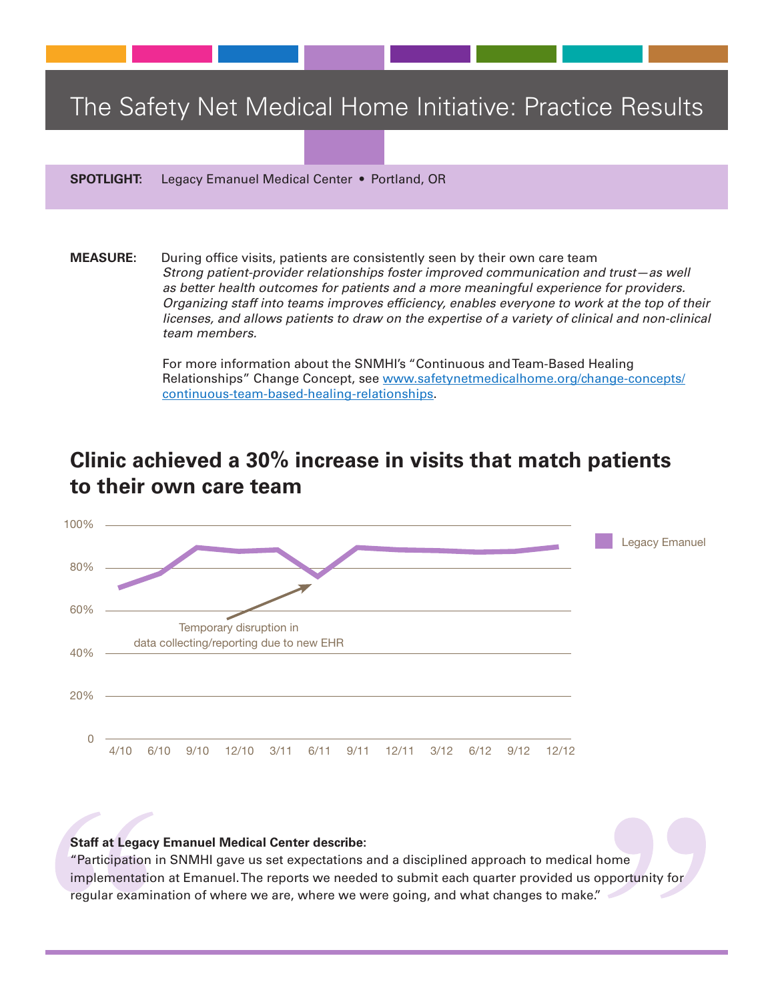## The Safety Net Medical Home Initiative: Practice Results

**SPOTLIGHT:** Legacy Emanuel Medical Center • Portland, OR

**MEASURE:** During office visits, patients are consistently seen by their own care team *Strong patient-provider relationships foster improved communication and trust—as well as better health outcomes for patients and a more meaningful experience for providers. Organizing staff into teams improves efficiency, enables everyone to work at the top of their licenses, and allows patients to draw on the expertise of a variety of clinical and non-clinical team members.* 

> For more information about the SNMHI's "Continuous andTeam-Based Healing Relationships" Change Concept, see www.safetynetmedicalhome.org/change-concepts/ continuous-team-based-healing-relationships.

## **Clinic achieved a 30% increase in visits that match patients to their own care team**



## **Staff at Legacy Emanuel Medical Center describe:**

"Participation in SNMHI gave us set expectations and a disciplined approach to medical home implementation at Emanuel.The reports we needed to submit each quarter provided us opportunity for regular examination of where we are, where we were going, and what changes to make."